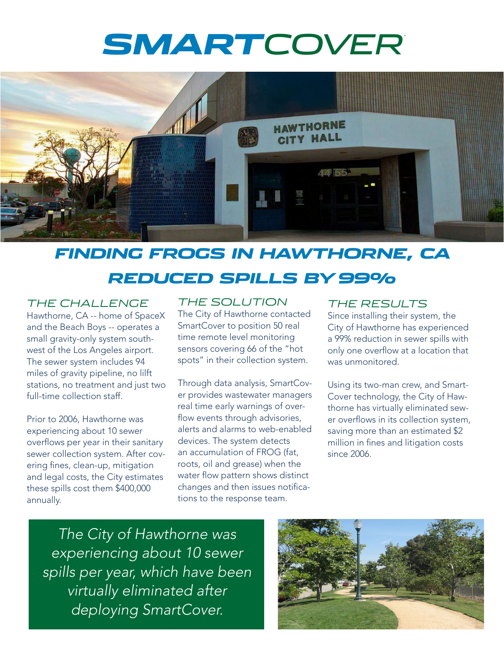# *SMARTCOVER*®



### *FINDING FROGS IN HAWTHORNE, CA REDUCED SPILLS BY 99%*

#### *THE CHALLENGE*

Hawthorne, CA -- home of SpaceX and the Beach Boys -- operates a small gravity-only system southwest of the Los Angeles airport. The sewer system includes 94 miles of gravity pipeline, no lilft stations, no treatment and just two full-time collection staff.

Prior to 2006, Hawthorne was experiencing about 10 sewer overflows per year in their sanitary sewer collection system. After covering fines, clean-up, mitigation and legal costs, the City estimates these spills cost them \$400,000 annually.

#### *THE SOLUTION*

The City of Hawthorne contacted SmartCover to position 50 real time remote level monitoring sensors covering 66 of the "hot spots" in their collection system.

Through data analysis, SmartCover provides wastewater managers real time early warnings of overflow events through advisories, alerts and alarms to web-enabled devices. The system detects an accumulation of FROG (fat, roots, oil and grease) when the water flow pattern shows distinct changes and then issues notifications to the response team.

#### *THE RESULTS*

Since installing their system, the City of Hawthorne has experienced a 99% reduction in sewer spills with only one overflow at a location that was unmonitored.

Using its two-man crew, and Smart-Cover technology, the City of Hawthorne has virtually eliminated sewer overflows in its collection system, saving more than an estimated \$2 million in fines and litigation costs since 2006.

*The City of Hawthorne was experiencing about 10 sewer spills per year, which have been virtually eliminated after deploying SmartCover.*